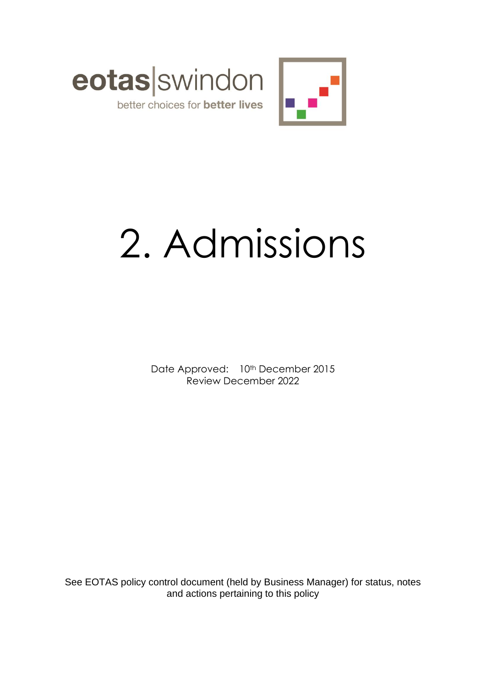



# 2. Admissions

Date Approved: 10<sup>th</sup> December 2015 Review December 2022

See EOTAS policy control document (held by Business Manager) for status, notes and actions pertaining to this policy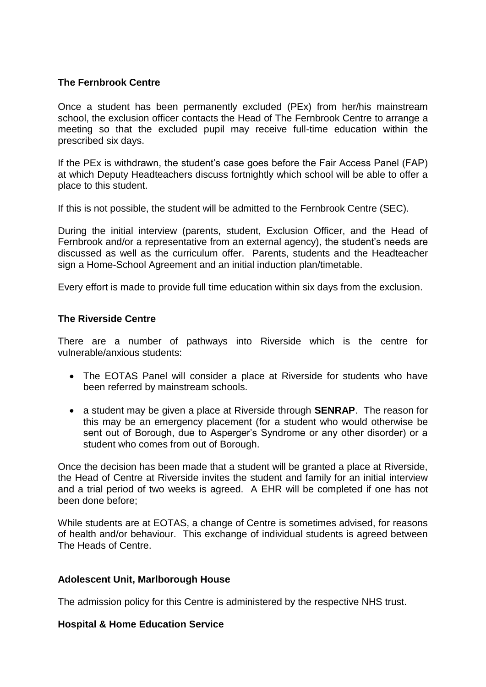## **The Fernbrook Centre**

Once a student has been permanently excluded (PEx) from her/his mainstream school, the exclusion officer contacts the Head of The Fernbrook Centre to arrange a meeting so that the excluded pupil may receive full-time education within the prescribed six days.

If the PEx is withdrawn, the student's case goes before the Fair Access Panel (FAP) at which Deputy Headteachers discuss fortnightly which school will be able to offer a place to this student.

If this is not possible, the student will be admitted to the Fernbrook Centre (SEC).

During the initial interview (parents, student, Exclusion Officer, and the Head of Fernbrook and/or a representative from an external agency), the student's needs are discussed as well as the curriculum offer. Parents, students and the Headteacher sign a Home-School Agreement and an initial induction plan/timetable.

Every effort is made to provide full time education within six days from the exclusion.

### **The Riverside Centre**

There are a number of pathways into Riverside which is the centre for vulnerable/anxious students:

- The EOTAS Panel will consider a place at Riverside for students who have been referred by mainstream schools.
- a student may be given a place at Riverside through **SENRAP**. The reason for this may be an emergency placement (for a student who would otherwise be sent out of Borough, due to Asperger's Syndrome or any other disorder) or a student who comes from out of Borough.

Once the decision has been made that a student will be granted a place at Riverside, the Head of Centre at Riverside invites the student and family for an initial interview and a trial period of two weeks is agreed. A EHR will be completed if one has not been done before;

While students are at EOTAS, a change of Centre is sometimes advised, for reasons of health and/or behaviour. This exchange of individual students is agreed between The Heads of Centre.

### **Adolescent Unit, Marlborough House**

The admission policy for this Centre is administered by the respective NHS trust.

### **Hospital & Home Education Service**